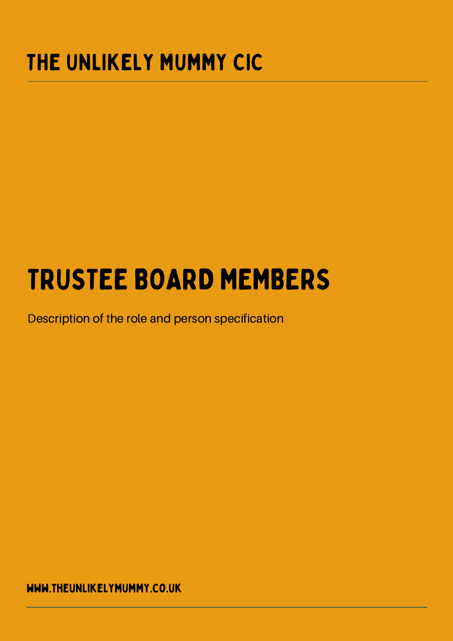#### THE UNLIKELY MUMMY CIC

# TRUSTEE BOARD MEMBERS

Description of the role and person specification

www.theunlikelymummy.co.uk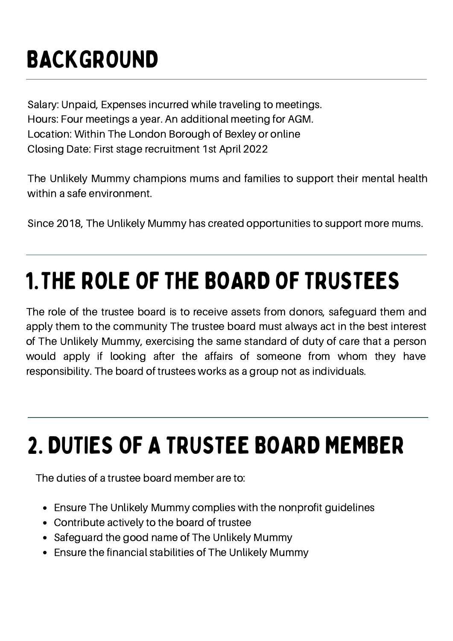### BACKGROUND

Salary: Unpaid, Expenses incurred while traveling to meetings. Hours: Four meetings a year. An additional meeting for AGM. Location: Within The London Borough of Bexley or online Closing Date: First stage recruitment 1st April 2022

The Unlikely Mummy champions mums and families to support their mental health within a safe environment.

Since 2018, The Unlikely Mummy has created opportunities to support more mums.

#### 1.THE ROLE OF THE BOARD OF TRUSTEES

The role of the trustee board is to receive assets from donors, safeguard them and apply them to the community The trustee board must always act in the best interest of The Unlikely Mummy, exercising the same standard of duty of care that a person would apply if looking after the affairs of someone from whom they have responsibility. The board of trustees works as a group not as individuals.

#### 2. DUTIES OF A TRUSTEE BOARD MEMBER

The duties of a trustee board member are to:

- Ensure The Unlikely Mummy complies with the nonprofit guidelines
- Contribute actively to the board of trustee
- Safeguard the good name of The Unlikely Mummy
- Ensure the financial stabilities of The Unlikely Mummy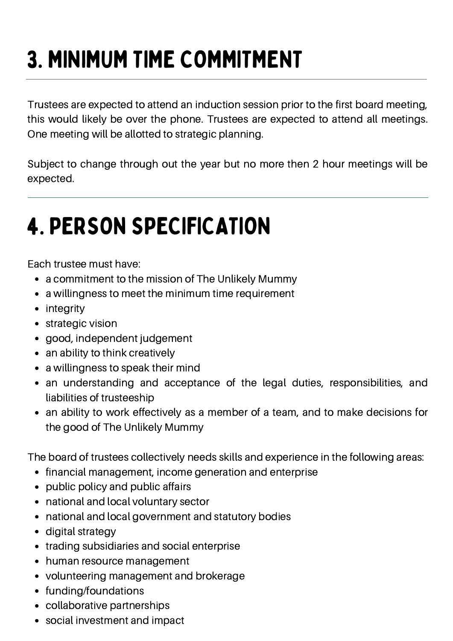# 3. MINIMUM TIME COMMITMENT

Trustees are expected to attend an induction session prior to the first board meeting, this would likely be over the phone. Trustees are expected to attend all meetings. One meeting will be allotted to strategic planning.

Subject to change through out the year but no more then 2 hour meetings will be expected.

## 4. PERSON SPECIFICATION

Each trustee must have:

- a commitment to the mission of The Unlikely Mummy
- a willingness to meet the minimum time requirement
- integrity
- strategic vision
- $\bullet$ good, independent judgement
- an ability to think creatively
- a willingness to speak their mind
- an understanding and acceptance of the legal duties, responsibilities, and liabilities of trusteeship
- an ability to work effectively as a member of a team, and to make decisions for the good of The Unlikely Mummy

The board of trustees collectively needs skills and experience in the following areas:

- financial management, income generation and enterprise
- public policy and public affairs
- national and local voluntary sector
- national and local government and statutory bodies
- digital strategy
- trading subsidiaries and social enterprise
- human resource management
- volunteering management and brokerage
- funding/foundations
- collaborative partnerships
- social investment and impact